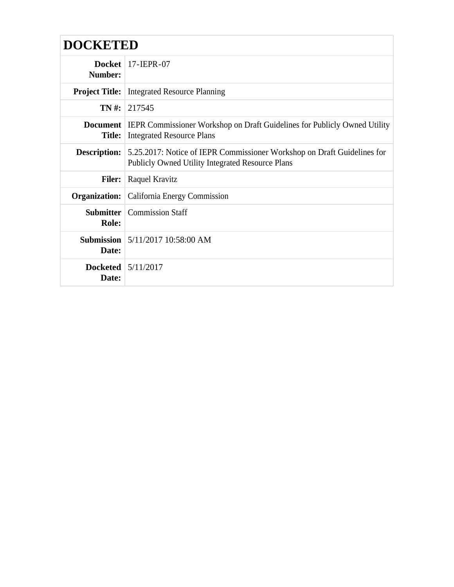| <b>DOCKETED</b>                     |                                                                                                                                    |
|-------------------------------------|------------------------------------------------------------------------------------------------------------------------------------|
| <b>Docket</b><br>Number:            | 17-JEPR-07                                                                                                                         |
| <b>Project Title:</b>               | <b>Integrated Resource Planning</b>                                                                                                |
| TN #:                               | 217545                                                                                                                             |
| <b>Document</b><br><b>Title:</b>    | <b>IEPR Commissioner Workshop on Draft Guidelines for Publicly Owned Utility</b><br><b>Integrated Resource Plans</b>               |
| <b>Description:</b>                 | 5.25.2017: Notice of IEPR Commissioner Workshop on Draft Guidelines for<br><b>Publicly Owned Utility Integrated Resource Plans</b> |
| <b>Filer:</b>                       | Raquel Kravitz                                                                                                                     |
| Organization:                       | California Energy Commission                                                                                                       |
| <b>Submitter</b><br>Role:           | <b>Commission Staff</b>                                                                                                            |
| Date:                               | <b>Submission</b> 5/11/2017 10:58:00 AM                                                                                            |
| Docketed $\frac{5}{12017}$<br>Date: |                                                                                                                                    |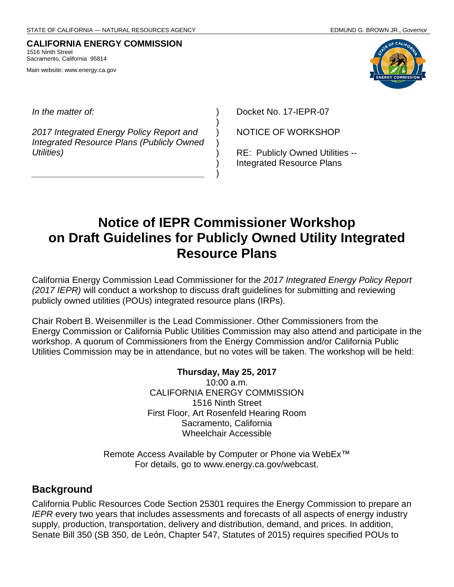#### **CALIFORNIA ENERGY COMMISSION** 1516 Ninth Street Sacramento, California 95814

Main website: www.energy.ca.gov



*In the matter of:*

*2017 Integrated Energy Policy Report and Integrated Resource Plans (Publicly Owned Utilities)*

*\_\_\_\_\_\_\_\_\_\_\_\_\_\_\_\_\_\_\_\_\_\_\_\_\_\_\_\_\_\_\_\_\_\_\_*

Docket No. 17-IEPR-07

NOTICE OF WORKSHOP

RE: Publicly Owned Utilities -- Integrated Resource Plans

# **Notice of IEPR Commissioner Workshop on Draft Guidelines for Publicly Owned Utility Integrated Resource Plans**

) ) ) ) ) ) )

California Energy Commission Lead Commissioner for the *2017 Integrated Energy Policy Report (2017 IEPR)* will conduct a workshop to discuss draft guidelines for submitting and reviewing publicly owned utilities (POUs) integrated resource plans (IRPs).

Chair Robert B. Weisenmiller is the Lead Commissioner. Other Commissioners from the Energy Commission or California Public Utilities Commission may also attend and participate in the workshop. A quorum of Commissioners from the Energy Commission and/or California Public Utilities Commission may be in attendance, but no votes will be taken. The workshop will be held:

#### **Thursday, May 25, 2017**

10:00 a.m. CALIFORNIA ENERGY COMMISSION 1516 Ninth Street First Floor, Art Rosenfeld Hearing Room Sacramento, California Wheelchair Accessible

Remote Access Available by Computer or Phone via WebEx™ For details, go to www.energy.ca.gov/webcast.

#### **Background**

California Public Resources Code Section 25301 requires the Energy Commission to prepare an *IEPR* every two years that includes assessments and forecasts of all aspects of energy industry supply, production, transportation, delivery and distribution, demand, and prices. In addition, Senate Bill 350 (SB 350, de León, Chapter 547, Statutes of 2015) requires specified POUs to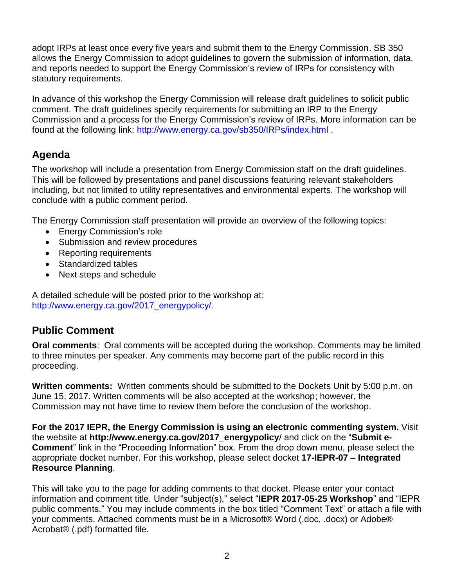adopt IRPs at least once every five years and submit them to the Energy Commission. SB 350 allows the Energy Commission to adopt guidelines to govern the submission of information, data, and reports needed to support the Energy Commission's review of IRPs for consistency with statutory requirements.

In advance of this workshop the Energy Commission will release draft guidelines to solicit public comment. The draft guidelines specify requirements for submitting an IRP to the Energy Commission and a process for the Energy Commission's review of IRPs. More information can be found at the following link: [http://www.energy.ca.gov/sb350/IRPs/index.html .](http://www.energy.ca.gov/sb350/IRPs/index.html)

# **Agenda**

The workshop will include a presentation from Energy Commission staff on the draft guidelines. This will be followed by presentations and panel discussions featuring relevant stakeholders including, but not limited to utility representatives and environmental experts. The workshop will conclude with a public comment period.

The Energy Commission staff presentation will provide an overview of the following topics:

- Energy Commission's role
- Submission and review procedures
- Reporting requirements
- Standardized tables
- Next steps and schedule

A detailed schedule will be posted prior to the workshop at: [http://www.energy.ca.gov/2017\\_energypolicy/.](http://www.energy.ca.gov/2017_energypolicy/)

#### **Public Comment**

**Oral comments**: Oral comments will be accepted during the workshop. Comments may be limited to three minutes per speaker. Any comments may become part of the public record in this proceeding.

**Written comments:** Written comments should be submitted to the Dockets Unit by 5:00 p.m. on June 15, 2017. Written comments will be also accepted at the workshop; however, the Commission may not have time to review them before the conclusion of the workshop.

**For the 2017 IEPR, the Energy Commission is using an electronic commenting system.** Visit the website at **http://www.energy.ca.gov/2017\_energypolicy**/ and click on the "**Submit e-Comment**" link in the "Proceeding Information" box. From the drop down menu, please select the appropriate docket number. For this workshop, please select docket **17-IEPR-07 – Integrated Resource Planning**.

This will take you to the page for adding comments to that docket. Please enter your contact information and comment title. Under "subject(s)," select "**IEPR 2017-05-25 Workshop**" and "IEPR public comments." You may include comments in the box titled "Comment Text" or attach a file with your comments. Attached comments must be in a Microsoft® Word (.doc, .docx) or Adobe® Acrobat® (.pdf) formatted file.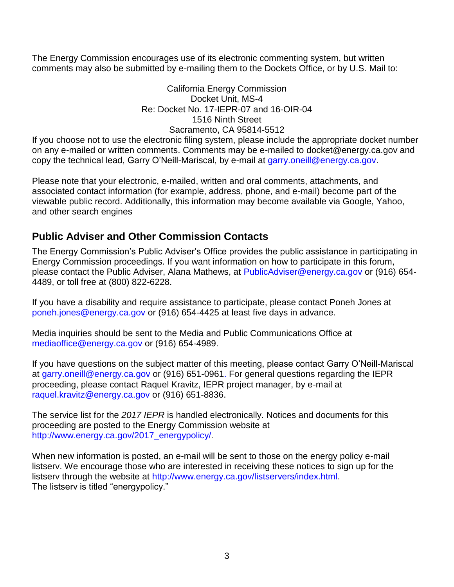The Energy Commission encourages use of its electronic commenting system, but written comments may also be submitted by e-mailing them to the Dockets Office, or by U.S. Mail to:

> California Energy Commission Docket Unit, MS-4 Re: Docket No. 17-IEPR-07 and 16-OIR-04 1516 Ninth Street Sacramento, CA 95814-5512

If you choose not to use the electronic filing system, please include the appropriate docket number on any e-mailed or written comments. Comments may be e-mailed to docket@energy.ca.gov and copy the technical lead, Garry O'Neill-Mariscal, by e-mail at [garry.oneill@energy.ca.gov.](mailto:garry.oneill@energy.ca.gov)

Please note that your electronic, e-mailed, written and oral comments, attachments, and associated contact information (for example, address, phone, and e-mail) become part of the viewable public record. Additionally, this information may become available via Google, Yahoo, and other search engines

# **Public Adviser and Other Commission Contacts**

The Energy Commission's Public Adviser's Office provides the public assistance in participating in Energy Commission proceedings. If you want information on how to participate in this forum, please contact the Public Adviser, Alana Mathews, at [PublicAdviser@energy.ca.gov](mailto:PublicAdviser@energy.ca.gov) or (916) 654- 4489, or toll free at (800) 822-6228.

If you have a disability and require assistance to participate, please contact Poneh Jones at [poneh.jones@energy.ca.gov](mailto:poneh.jones@energy.ca.gov) or (916) 654-4425 at least five days in advance.

Media inquiries should be sent to the Media and Public Communications Office at [mediaoffice@energy.ca.gov](mailto:mediaoffice@energy.ca.gov) or (916) 654-4989.

If you have questions on the subject matter of this meeting, please contact Garry O'Neill-Mariscal at [garry.oneill@energy.ca.gov](mailto:garry.oneill@energy.ca.gov) or (916) 651-0961. For general questions regarding the IEPR proceeding, please contact Raquel Kravitz, IEPR project manager, by e-mail at [raquel.kravitz@energy.ca.gov](mailto:raquel.kravitz@energy.ca.gov) or (916) 651-8836.

The service list for the *2017 IEPR* is handled electronically. Notices and documents for this proceeding are posted to the Energy Commission website at [http://www.energy.ca.gov/2017\\_energypolicy/.](http://www.energy.ca.gov/2017_energypolicy/)

When new information is posted, an e-mail will be sent to those on the energy policy e-mail listserv. We encourage those who are interested in receiving these notices to sign up for the listserv through the website at [http://www.energy.ca.gov/listservers/index.html.](http://www.energy.ca.gov/listservers/index.html) The listserv is titled "energypolicy."